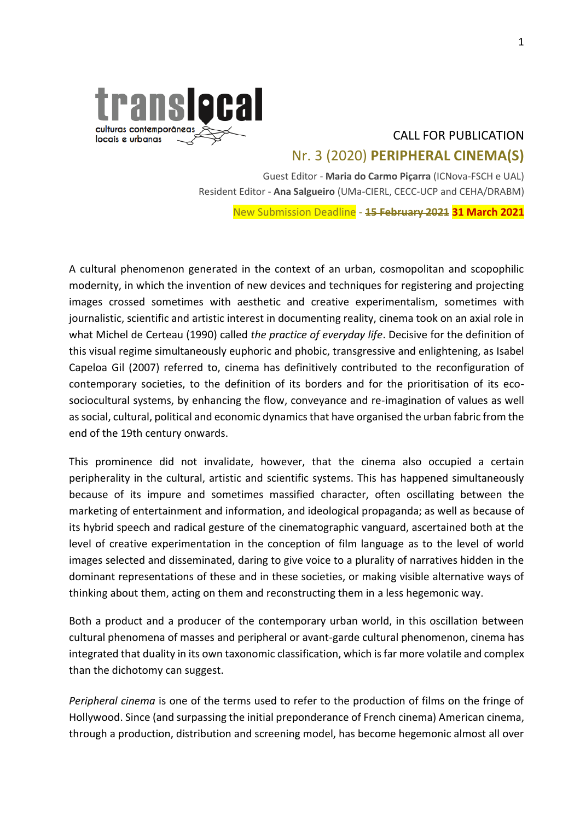

# CALL FOR PUBLICATION Nr. 3 (2020) **PERIPHERAL CINEMA(S)**

Guest Editor - **Maria do Carmo Piçarra** (ICNova-FSCH e UAL) Resident Editor - **Ana Salgueiro** (UMa-CIERL, CECC-UCP and CEHA/DRABM)

New Submission Deadline - **15 February 2021 31 March 2021**

A cultural phenomenon generated in the context of an urban, cosmopolitan and scopophilic modernity, in which the invention of new devices and techniques for registering and projecting images crossed sometimes with aesthetic and creative experimentalism, sometimes with journalistic, scientific and artistic interest in documenting reality, cinema took on an axial role in what Michel de Certeau (1990) called *the practice of everyday life*. Decisive for the definition of this visual regime simultaneously euphoric and phobic, transgressive and enlightening, as Isabel Capeloa Gil (2007) referred to, cinema has definitively contributed to the reconfiguration of contemporary societies, to the definition of its borders and for the prioritisation of its ecosociocultural systems, by enhancing the flow, conveyance and re-imagination of values as well as social, cultural, political and economic dynamics that have organised the urban fabric from the end of the 19th century onwards.

This prominence did not invalidate, however, that the cinema also occupied a certain peripherality in the cultural, artistic and scientific systems. This has happened simultaneously because of its impure and sometimes massified character, often oscillating between the marketing of entertainment and information, and ideological propaganda; as well as because of its hybrid speech and radical gesture of the cinematographic vanguard, ascertained both at the level of creative experimentation in the conception of film language as to the level of world images selected and disseminated, daring to give voice to a plurality of narratives hidden in the dominant representations of these and in these societies, or making visible alternative ways of thinking about them, acting on them and reconstructing them in a less hegemonic way.

Both a product and a producer of the contemporary urban world, in this oscillation between cultural phenomena of masses and peripheral or avant-garde cultural phenomenon, cinema has integrated that duality in its own taxonomic classification, which is far more volatile and complex than the dichotomy can suggest.

*Peripheral cinema* is one of the terms used to refer to the production of films on the fringe of Hollywood. Since (and surpassing the initial preponderance of French cinema) American cinema, through a production, distribution and screening model, has become hegemonic almost all over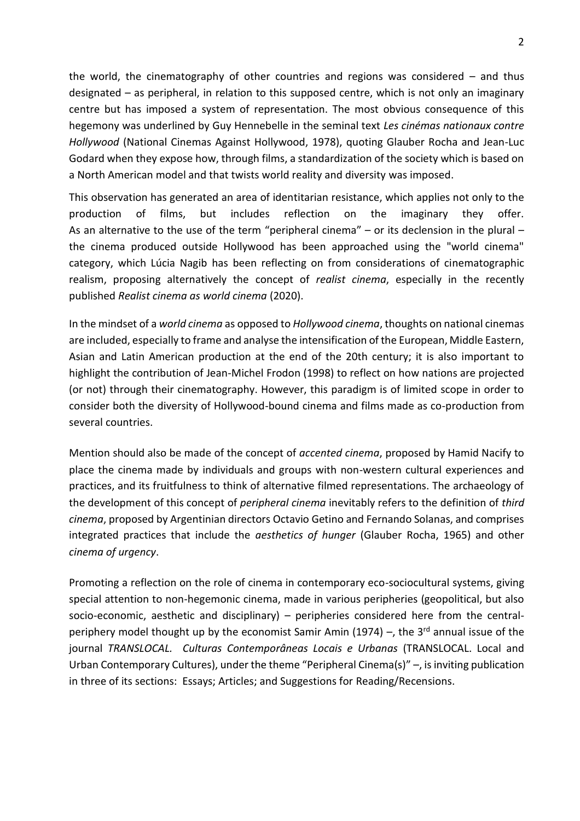the world, the cinematography of other countries and regions was considered  $-$  and thus designated – as peripheral, in relation to this supposed centre, which is not only an imaginary centre but has imposed a system of representation. The most obvious consequence of this hegemony was underlined by Guy Hennebelle in the seminal text *Les cinémas nationaux contre Hollywood* (National Cinemas Against Hollywood, 1978), quoting Glauber Rocha and Jean-Luc Godard when they expose how, through films, a standardization of the society which is based on a North American model and that twists world reality and diversity was imposed.

This observation has generated an area of identitarian resistance, which applies not only to the production of films, but includes reflection on the imaginary they offer. As an alternative to the use of the term "peripheral cinema" – or its declension in the plural – the cinema produced outside Hollywood has been approached using the "world cinema" category, which Lúcia Nagib has been reflecting on from considerations of cinematographic realism, proposing alternatively the concept of *realist cinema*, especially in the recently published *Realist cinema as world cinema* (2020).

In the mindset of a *world cinema* as opposed to *Hollywood cinema*, thoughts on national cinemas are included, especially to frame and analyse the intensification of the European, Middle Eastern, Asian and Latin American production at the end of the 20th century; it is also important to highlight the contribution of Jean-Michel Frodon (1998) to reflect on how nations are projected (or not) through their cinematography. However, this paradigm is of limited scope in order to consider both the diversity of Hollywood-bound cinema and films made as co-production from several countries.

Mention should also be made of the concept of *accented cinema*, proposed by Hamid Nacify to place the cinema made by individuals and groups with non-western cultural experiences and practices, and its fruitfulness to think of alternative filmed representations. The archaeology of the development of this concept of *peripheral cinema* inevitably refers to the definition of *third cinema*, proposed by Argentinian directors Octavio Getino and Fernando Solanas, and comprises integrated practices that include the *aesthetics of hunger* (Glauber Rocha, 1965) and other *cinema of urgency*.

Promoting a reflection on the role of cinema in contemporary eco-sociocultural systems, giving special attention to non-hegemonic cinema, made in various peripheries (geopolitical, but also socio-economic, aesthetic and disciplinary) – peripheries considered here from the centralperiphery model thought up by the economist Samir Amin (1974) -, the 3<sup>rd</sup> annual issue of the journal *TRANSLOCAL. Culturas Contemporâneas Locais e Urbanas* (TRANSLOCAL. Local and Urban Contemporary Cultures), under the theme "Peripheral Cinema(s)" –, is inviting publication in three of its sections: Essays; Articles; and Suggestions for Reading/Recensions.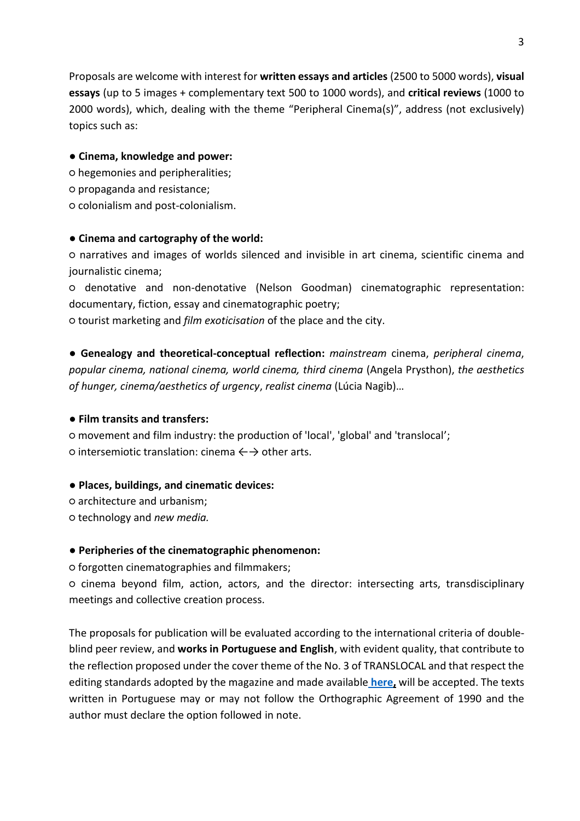Proposals are welcome with interest for **written essays and articles** (2500 to 5000 words), **visual essays** (up to 5 images + complementary text 500 to 1000 words), and **critical reviews** (1000 to 2000 words), which, dealing with the theme "Peripheral Cinema(s)", address (not exclusively) topics such as:

#### ● **Cinema, knowledge and power:**

- hegemonies and peripheralities;
- propaganda and resistance;
- colonialism and post-colonialism.

#### ● **Cinema and cartography of the world:**

○ narratives and images of worlds silenced and invisible in art cinema, scientific cinema and journalistic cinema;

○ denotative and non-denotative (Nelson Goodman) cinematographic representation: documentary, fiction, essay and cinematographic poetry;

○ tourist marketing and *film exoticisation* of the place and the city.

● **Genealogy and theoretical-conceptual reflection:** *mainstream* cinema, *peripheral cinema*, *popular cinema, national cinema, world cinema, third cinema* (Angela Prysthon), *the aesthetics of hunger, cinema/aesthetics of urgency*, *realist cinema* (Lúcia Nagib)…

## ● **Film transits and transfers:**

○ movement and film industry: the production of 'local', 'global' and 'translocal';  $\circ$  intersemiotic translation: cinema  $\leftrightarrow$  other arts.

## ● **Places, buildings, and cinematic devices:**

- architecture and urbanism;
- technology and *new media.*

## ● **Peripheries of the cinematographic phenomenon:**

○ forgotten cinematographies and filmmakers;

○ cinema beyond film, action, actors, and the director: intersecting arts, transdisciplinary meetings and collective creation process.

The proposals for publication will be evaluated according to the international criteria of doubleblind peer review, and **works in Portuguese and English**, with evident quality, that contribute to the reflection proposed under the cover theme of the No. 3 of TRANSLOCAL and that respect the editing standards adopted by the magazine and made available **[here,](https://cierl.uma.pt/cierl/?page_id=5070)** will be accepted. The texts written in Portuguese may or may not follow the Orthographic Agreement of 1990 and the author must declare the option followed in note.